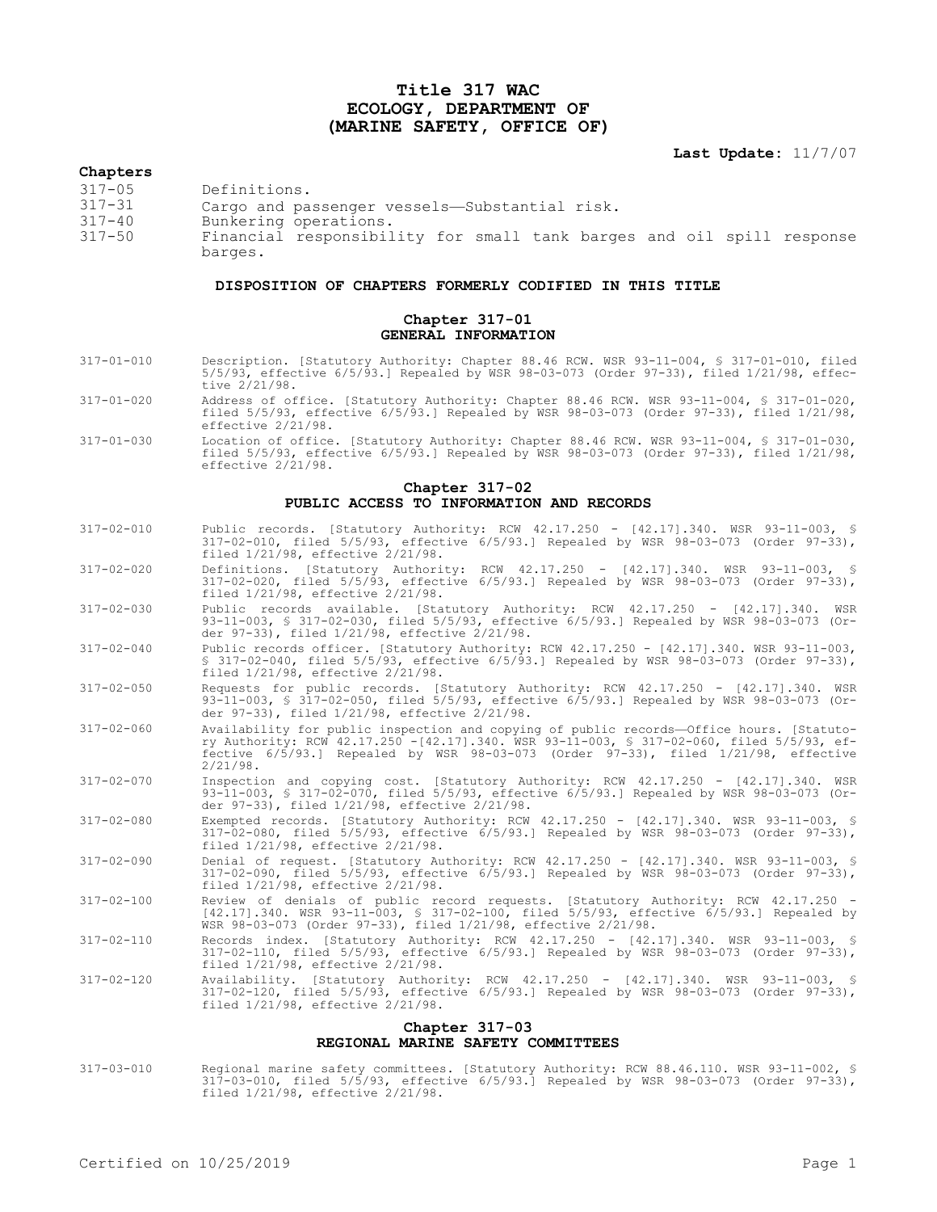## **Title 317 WAC ECOLOGY, DEPARTMENT OF (MARINE SAFETY, OFFICE OF)**

**Last Update:** 11/7/07

## **Chapters**

barges.

| $317 - 05$ | Definitions.                                                          |
|------------|-----------------------------------------------------------------------|
| 317-31     | Cargo and passenger vessels-Substantial risk.                         |
| $317 - 40$ | Bunkering operations.                                                 |
| $317 - 50$ | Financial responsibility for small tank barges and oil spill response |

## **DISPOSITION OF CHAPTERS FORMERLY CODIFIED IN THIS TITLE**

## **Chapter 317-01 GENERAL INFORMATION**

- 317-01-010 Description. [Statutory Authority: Chapter 88.46 RCW. WSR 93-11-004, § 317-01-010, filed 5/5/93, effective 6/5/93.] Repealed by WSR 98-03-073 (Order 97-33), filed 1/21/98, effective 2/21/98.
- 317-01-020 Address of office. [Statutory Authority: Chapter 88.46 RCW. WSR 93-11-004, § 317-01-020, filed 5/5/93, effective 6/5/93.] Repealed by WSR 98-03-073 (Order 97-33), filed 1/21/98, effective 2/21/98.
- 317-01-030 Location of office. [Statutory Authority: Chapter 88.46 RCW. WSR 93-11-004, § 317-01-030, filed 5/5/93, effective  $6/5/93$ .] Repealed by WSR 98-03-073 (Order 97-33), filed  $1/21/98$ , effective 2/21/98.

## **Chapter 317-02 PUBLIC ACCESS TO INFORMATION AND RECORDS**

- 317-02-010 Public records. [Statutory Authority: RCW 42.17.250 [42.17].340. WSR 93-11-003, § 317-02-010, filed 5/5/93, effective 6/5/93.] Repealed by WSR 98-03-073 (Order 97-33), filed 1/21/98, effective 2/21/98.
- 317-02-020 Definitions. [Statutory Authority: RCW 42.17.250 [42.17].340. WSR 93-11-003, § 317-02-020, filed 5/5/93, effective 6/5/93.] Repealed by WSR 98-03-073 (Order 97-33), filed 1/21/98, effective 2/21/98.
- 317-02-030 Public records available. [Statutory Authority: RCW 42.17.250 [42.17].340. WSR 93-11-003, § 317-02-030, filed 5/5/93, effective 6/5/93.] Repealed by WSR 98-03-073 (Order 97-33), filed 1/21/98, effective 2/21/98.
- 317-02-040 Public records officer. [Statutory Authority: RCW 42.17.250 [42.17].340. WSR 93-11-003, § 317-02-040, filed 5/5/93, effective 6/5/93.] Repealed by WSR 98-03-073 (Order 97-33), filed 1/21/98, effective 2/21/98.
- 317-02-050 Requests for public records. [Statutory Authority: RCW 42.17.250 [42.17].340. WSR 93-11-003, § 317-02-050, filed 5/5/93, effective 6/5/93.] Repealed by WSR 98-03-073 (Order 97-33), filed 1/21/98, effective 2/21/98.
- 317-02-060 Availability for public inspection and copying of public records—Office hours. [Statutory Authority: RCW 42.17.250 -[42.17].340. WSR 93-11-003, § 317-02-060, filed 5/5/93, effective 6/5/93.] Repealed by WSR 98-03-073 (Order 97-33), filed 1/21/98, effective 2/21/98.
- 317-02-070 Inspection and copying cost. [Statutory Authority: RCW 42.17.250 [42.17].340. WSR 93-11-003, § 317-02-070, filed 5/5/93, effective 6/5/93.] Repealed by WSR 98-03-073 (Order 97-33), filed 1/21/98, effective 2/21/98.
- 317-02-080 Exempted records. [Statutory Authority: RCW 42.17.250 [42.17].340. WSR 93-11-003, § 317-02-080, filed 5/5/93, effective 6/5/93.] Repealed by WSR 98-03-073 (Order 97-33), filed 1/21/98, effective 2/21/98.
- 317-02-090 Denial of request. [Statutory Authority: RCW 42.17.250 [42.17].340. WSR 93-11-003, § 317-02-090, filed 5/5/93, effective 6/5/93.] Repealed by WSR 98-03-073 (Order 97-33), filed 1/21/98, effective 2/21/98.
- 317-02-100 Review of denials of public record requests. [Statutory Authority: RCW 42.17.250 [42.17].340. WSR 93-11-003, § 317-02-100, filed 5/5/93, effective 6/5/93.] Repealed by WSR 98-03-073 (Order 97-33), filed 1/21/98, effective 2/21/98.
- 317-02-110 Records index. [Statutory Authority: RCW 42.17.250 [42.17].340. WSR 93-11-003, § 317-02-110, filed 5/5/93, effective 6/5/93.] Repealed by WSR 98-03-073 (Order 97-33), filed 1/21/98, effective 2/21/98.
- 317-02-120 Availability. [Statutory Authority: RCW 42.17.250 [42.17].340. WSR 93-11-003, § 317-02-120, filed 5/5/93, effective 6/5/93.] Repealed by WSR 98-03-073 (Order 97-33), filed 1/21/98, effective 2/21/98.

### **Chapter 317-03 REGIONAL MARINE SAFETY COMMITTEES**

317-03-010 Regional marine safety committees. [Statutory Authority: RCW 88.46.110. WSR 93-11-002, § 317-03-010, filed 5/5/93, effective 6/5/93.] Repealed by WSR 98-03-073 (Order 97-33), filed 1/21/98, effective 2/21/98.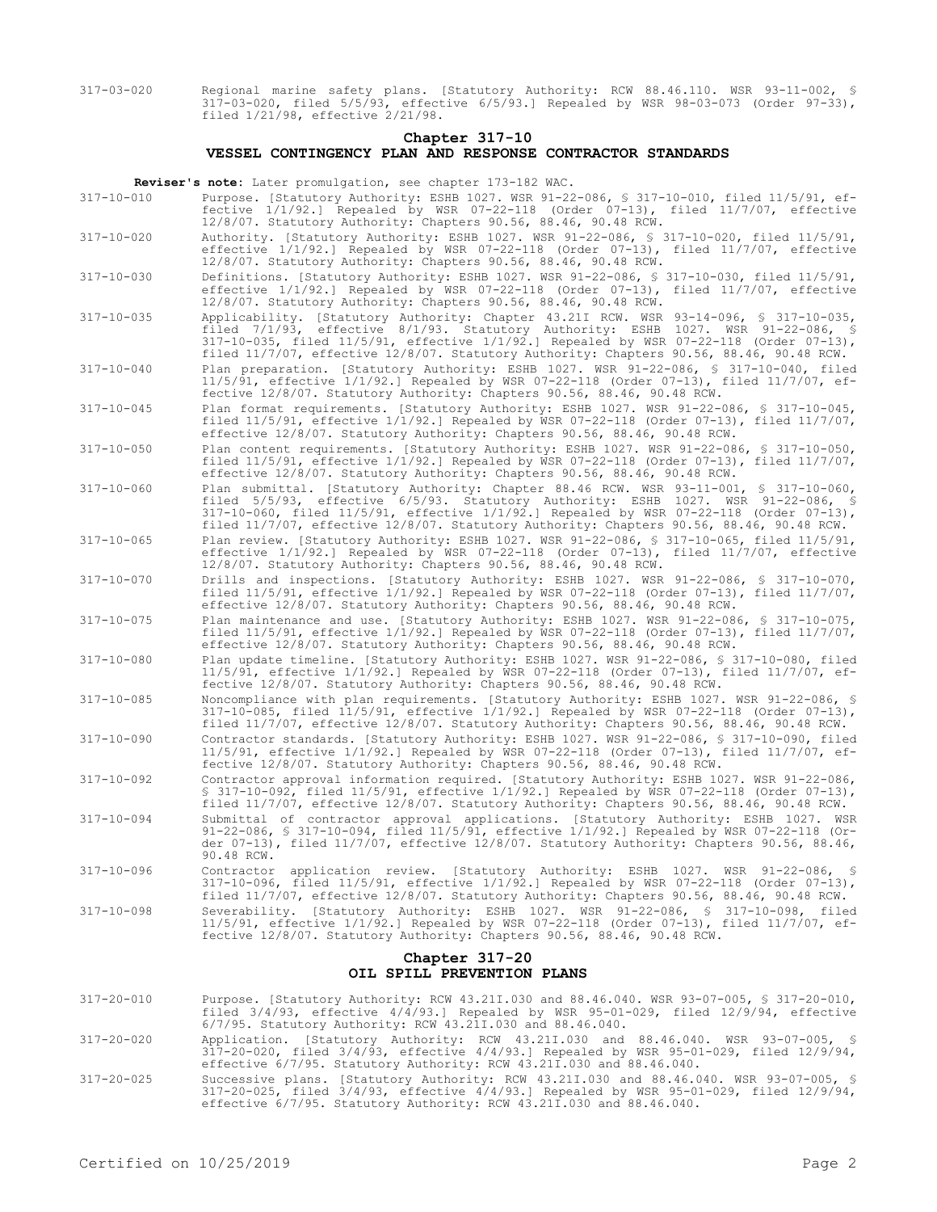317-03-020 Regional marine safety plans. [Statutory Authority: RCW 88.46.110. WSR 93-11-002, § 317-03-020, filed 5/5/93, effective 6/5/93.] Repealed by WSR 98-03-073 (Order 97-33), filed 1/21/98, effective 2/21/98.

### **Chapter 317-10 VESSEL CONTINGENCY PLAN AND RESPONSE CONTRACTOR STANDARDS**

**Reviser's note:** Later promulgation, see chapter 173-182 WAC.

- 317-10-010 Purpose. [Statutory Authority: ESHB 1027. WSR 91-22-086, § 317-10-010, filed 11/5/91, effective 1/1/92.] Repealed by WSR 07-22-118 (Order 07-13), filed 11/7/07, effective 12/8/07. Statutory Authority: Chapters 90.56, 88.46, 90.48 RCW.
- 317-10-020 Authority. [Statutory Authority: ESHB 1027. WSR 91-22-086, § 317-10-020, filed 11/5/91, effective 1/1/92.] Repealed by WSR 07-22-118 (Order 07-13), filed 11/7/07, effective 12/8/07. Statutory Authority: Chapters 90.56, 88.46, 90.48 RCW.
- 317-10-030 Definitions. [Statutory Authority: ESHB 1027. WSR 91-22-086, § 317-10-030, filed 11/5/91, effective 1/1/92.] Repealed by WSR 07-22-118 (Order 07-13), filed 11/7/07, effective 12/8/07. Statutory Authority: Chapters 90.56, 88.46, 90.48 RCW.
- 317-10-035 Applicability. [Statutory Authority: Chapter 43.21I RCW. WSR 93-14-096, § 317-10-035, filed 7/1/93, effective 8/1/93. Statutory Authority: ESHB 1027. WSR 91-22-086, § 317-10-035, filed 11/5/91, effective 1/1/92.] Repealed by WSR 07-22-118 (Order 07-13), filed 11/7/07, effective 12/8/07. Statutory Authority: Chapters 90.56, 88.46, 90.48 RCW.
- 317-10-040 Plan preparation. [Statutory Authority: ESHB 1027. WSR 91-22-086, § 317-10-040, filed 11/5/91, effective 1/1/92.] Repealed by WSR 07-22-118 (Order 07-13), filed 11/7/07, effective 12/8/07. Statutory Authority: Chapters 90.56, 88.46, 90.48 RCW.
- 317-10-045 Plan format requirements. [Statutory Authority: ESHB 1027. WSR 91-22-086, § 317-10-045, filed 11/5/91, effective 1/1/92.] Repealed by WSR 07-22-118 (Order 07-13), filed 11/7/07, effective 12/8/07. Statutory Authority: Chapters 90.56, 88.46, 90.48 RCW.
- 317-10-050 Plan content requirements. [Statutory Authority: ESHB 1027. WSR 91-22-086, § 317-10-050, filed  $11/5/91$ , effective  $1/1/92$ .] Repealed by  $\overline{w}$ SR 07-22-118 (Order 07-13), filed  $11/7/07$ , effective 12/8/07. Statutory Authority: Chapters 90.56, 88.46, 90.48 RCW.
- 317-10-060 Plan submittal. [Statutory Authority: Chapter 88.46 RCW. WSR 93-11-001, § 317-10-060, filed 5/5/93, effective 6/5/93. Statutory Authority: ESHB 1027. WSR 91-22-086, § 317-10-060, filed 11/5/91, effective 1/1/92.] Repealed by WSR 07-22-118 (Order 07-13), filed 11/7/07, effective 12/8/07. Statutory Authority: Chapters 90.56, 88.46, 90.48 RCW.
- 317-10-065 Plan review. [Statutory Authority: ESHB 1027. WSR 91-22-086, § 317-10-065, filed 11/5/91, effective 1/1/92.] Repealed by WSR 07-22-118 (Order 07-13), filed 11/7/07, effective 12/8/07. Statutory Authority: Chapters 90.56, 88.46, 90.48 RCW.
- 317-10-070 Drills and inspections. [Statutory Authority: ESHB 1027. WSR 91-22-086, § 317-10-070, filed 11/5/91, effective 1/1/92.] Repealed by WSR 07-22-118 (Order 07-13), filed 11/7/07, effective 12/8/07. Statutory Authority: Chapters 90.56, 88.46, 90.48 RCW.
- 317-10-075 Plan maintenance and use. [Statutory Authority: ESHB 1027. WSR 91-22-086, § 317-10-075, filed 11/5/91, effective 1/1/92.] Repealed by WSR 07-22-118 (Order 07-13), filed 11/7/07, effective 12/8/07. Statutory Authority: Chapters 90.56, 88.46, 90.48 RCW.
- 317-10-080 Plan update timeline. [Statutory Authority: ESHB 1027. WSR 91-22-086, § 317-10-080, filed 11/5/91, effective 1/1/92.] Repealed by WSR 07-22-118 (Order 07-13), filed 11/7/07, effective 12/8/07. Statutory Authority: Chapters 90.56, 88.46, 90.48 RCW.
- 317-10-085 Noncompliance with plan requirements. [Statutory Authority: ESHB 1027. WSR 91-22-086, § 317-10-085, filed 11/5/91, effective 1/1/92.] Repealed by WSR 07-22-118 (Order 07-13), filed 11/7/07, effective 12/8/07. Statutory Authority: Chapters 90.56, 88.46, 90.48 RCW.
- 317-10-090 Contractor standards. [Statutory Authority: ESHB 1027. WSR 91-22-086, § 317-10-090, filed 11/5/91, effective 1/1/92.] Repealed by WSR 07-22-118 (Order 07-13), filed 11/7/07, effective 12/8/07. Statutory Authority: Chapters 90.56, 88.46, 90.48 RCW.
- 317-10-092 Contractor approval information required. [Statutory Authority: ESHB 1027. WSR 91-22-086, § 317-10-092, filed 11/5/91, effective 1/1/92.] Repealed by WSR 07-22-118 (Order 07-13), filed 11/7/07, effective 12/8/07. Statutory Authority: Chapters 90.56, 88.46, 90.48 RCW.
- 317-10-094 Submittal of contractor approval applications. [Statutory Authority: ESHB 1027. WSR 91-22-086, § 317-10-094, filed 11/5/91, effective 1/1/92.] Repealed by WSR 07-22-118 (Order 07-13), filed 11/7/07, effective 12/8/07. Statutory Authority: Chapters 90.56, 88.46, 90.48 RCW.
- 317-10-096 Contractor application review. [Statutory Authority: ESHB 1027. WSR 91-22-086, § 317-10-096, filed 11/5/91, effective 1/1/92.] Repealed by WSR 07-22-118 (Order 07-13), filed 11/7/07, effective 12/8/07. Statutory Authority: Chapters 90.56, 88.46, 90.48 RCW.
- 317-10-098 Severability. [Statutory Authority: ESHB 1027. WSR 91-22-086, § 317-10-098, filed 11/5/91, effective 1/1/92.] Repealed by WSR 07-22-118 (Order 07-13), filed 11/7/07, effective 12/8/07. Statutory Authority: Chapters 90.56, 88.46, 90.48 RCW.

## **Chapter 317-20 OIL SPILL PREVENTION PLANS**

- 317-20-010 Purpose. [Statutory Authority: RCW 43.21I.030 and 88.46.040. WSR 93-07-005, § 317-20-010, filed  $3/4/93$ , effective  $4/\overline{4}/93$ .] Repealed by WSR 95-01-029, filed 12/9/94, effective 6/7/95. Statutory Authority: RCW 43.21I.030 and 88.46.040.
- 317-20-020 Application. [Statutory Authority: RCW 43.21I.030 and 88.46.040. WSR 93-07-005, § 317-20-020, filed 3/4/93, effective 4/4/93.] Repealed by WSR 95-01-029, filed 12/9/94, effective 6/7/95. Statutory Authority: RCW 43.21I.030 and 88.46.040.
- 317-20-025 Successive plans. [Statutory Authority: RCW 43.21I.030 and 88.46.040. WSR 93-07-005, § 317-20-025, filed 3/4/93, effective 4/4/93.] Repealed by WSR 95-01-029, filed 12/9/94, effective 6/7/95. Statutory Authority: RCW 43.21I.030 and 88.46.040.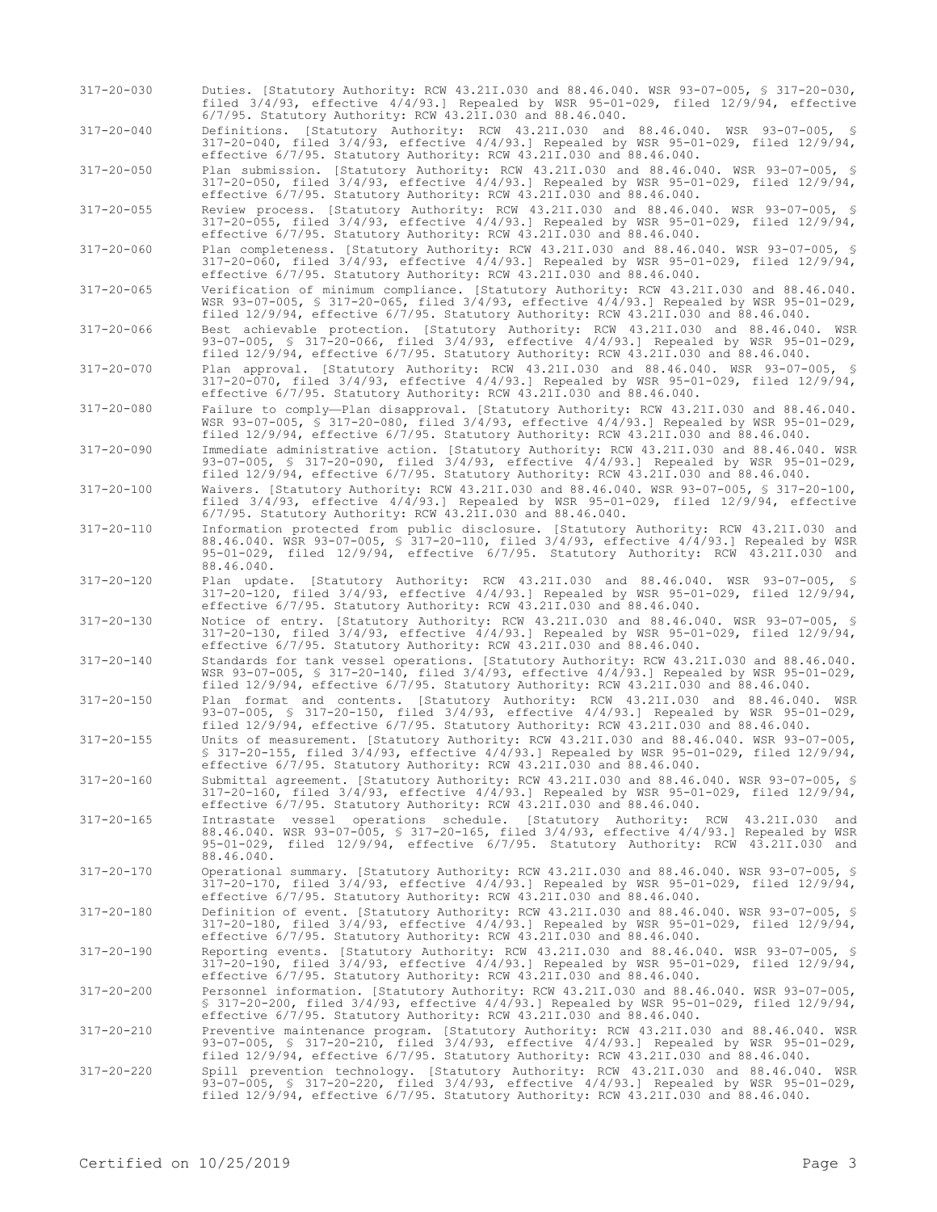317-20-030 Duties. [Statutory Authority: RCW 43.21I.030 and 88.46.040. WSR 93-07-005, § 317-20-030, filed 3/4/93, effective 4/4/93.] Repealed by WSR 95-01-029, filed 12/9/94, effective 6/7/95. Statutory Authority: RCW 43.21I.030 and 88.46.040.

317-20-040 Definitions. [Statutory Authority: RCW 43.21I.030 and 88.46.040. WSR 93-07-005, § 317-20-040, filed 3/4/93, effective 4/4/93.] Repealed by WSR 95-01-029, filed 12/9/94, effective 6/7/95. Statutory Authority: RCW 43.21I.030 and 88.46.040.

317-20-050 Plan submission. [Statutory Authority: RCW 43.21I.030 and 88.46.040. WSR 93-07-005, § 317-20-050, filed 3/4/93, effective 4/4/93.] Repealed by WSR 95-01-029, filed 12/9/94, effective 6/7/95. Statutory Authority: RCW 43.21I.030 and 88.46.040.

317-20-055 Review process. [Statutory Authority: RCW 43.21I.030 and 88.46.040. WSR 93-07-005, § 317-20-055, filed 3/4/93, effective 4/4/93.] Repealed by WSR 95-01-029, filed 12/9/94, effective 6/7/95. Statutory Authority: RCW 43.21I.030 and 88.46.040.

317-20-060 Plan completeness. [Statutory Authority: RCW 43.21I.030 and 88.46.040. WSR 93-07-005, § 317-20-060, filed 3/4/93, effective 4/4/93.] Repealed by WSR 95-01-029, filed 12/9/94, effective 6/7/95. Statutory Authority: RCW 43.21I.030 and 88.46.040.

317-20-065 Verification of minimum compliance. [Statutory Authority: RCW 43.21I.030 and 88.46.040. WSR 93-07-005, § 317-20-065, filed 3/4/93, effective 4/4/93.] Repealed by WSR 95-01-029, filed 12/9/94, effective 6/7/95. Statutory Authority: RCW 43.21I.030 and 88.46.040.

- 317-20-066 Best achievable protection. [Statutory Authority: RCW 43.21I.030 and 88.46.040. WSR 93-07-005, § 317-20-066, filed 3/4/93, effective 4/4/93.] Repealed by WSR 95-01-029, filed 12/9/94, effective 6/7/95. Statutory Authority: RCW 43.21I.030 and 88.46.040.
- 317-20-070 Plan approval. [Statutory Authority: RCW 43.21I.030 and 88.46.040. WSR 93-07-005, § 317-20-070, filed 3/4/93, effective 4/4/93.] Repealed by WSR 95-01-029, filed 12/9/94, effective 6/7/95. Statutory Authority: RCW 43.21I.030 and 88.46.040.

317-20-080 Failure to comply—Plan disapproval. [Statutory Authority: RCW 43.21I.030 and 88.46.040. WSR 93-07-005, § 317-20-080, filed 3/4/93, effective 4/4/93.] Repealed by WSR 95-01-029, filed 12/9/94, effective 6/7/95. Statutory Authority: RCW 43.21I.030 and 88.46.040.

317-20-090 Immediate administrative action. [Statutory Authority: RCW 43.21I.030 and 88.46.040. WSR 93-07-005, § 317-20-090, filed 3/4/93, effective 4/4/93.] Repealed by WSR 95-01-029, filed 12/9/94, effective 6/7/95. Statutory Authority: RCW 43.21I.030 and 88.46.040.

317-20-100 Waivers. [Statutory Authority: RCW 43.21I.030 and 88.46.040. WSR 93-07-005, § 317-20-100, filed 3/4/93, effective 4/4/93.] Repealed by WSR 95-01-029, filed 12/9/94, effective 6/7/95. Statutory Authority: RCW 43.21I.030 and 88.46.040.

- 317-20-110 Information protected from public disclosure. [Statutory Authority: RCW 43.21I.030 and 88.46.040. WSR 93-07-005, § 317-20-110, filed 3/4/93, effective 4/4/93.] Repealed by WSR 95-01-029, filed 12/9/94, effective 6/7/95. Statutory Authority: RCW 43.21I.030 and 88.46.040.
- 317-20-120 Plan update. [Statutory Authority: RCW 43.21I.030 and 88.46.040. WSR 93-07-005, § 317-20-120, filed 3/4/93, effective 4/4/93.] Repealed by WSR 95-01-029, filed 12/9/94, effective 6/7/95. Statutory Authority: RCW 43.21I.030 and 88.46.040.
- 317-20-130 Notice of entry. [Statutory Authority: RCW 43.21I.030 and 88.46.040. WSR 93-07-005, § 317-20-130, filed 3/4/93, effective 4/4/93.] Repealed by WSR 95-01-029, filed 12/9/94, effective 6/7/95. Statutory Authority: RCW 43.21I.030 and 88.46.040.
- 317-20-140 Standards for tank vessel operations. [Statutory Authority: RCW 43.21I.030 and 88.46.040. WSR 93-07-005, § 317-20-140, filed 3/4/93, effective 4/4/93.] Repealed by WSR 95-01-029, filed 12/9/94, effective 6/7/95. Statutory Authority: RCW 43.21I.030 and 88.46.040.
- 317-20-150 Plan format and contents. [Statutory Authority: RCW 43.21I.030 and 88.46.040. WSR 93-07-005, § 317-20-150, filed 3/4/93, effective 4/4/93.] Repealed by WSR 95-01-029, filed 12/9/94, effective 6/7/95. Statutory Authority: RCW 43.21I.030 and 88.46.040.
- 317-20-155 Units of measurement. [Statutory Authority: RCW 43.21I.030 and 88.46.040. WSR 93-07-005, § 317-20-155, filed 3/4/93, effective 4/4/93.] Repealed by WSR 95-01-029, filed 12/9/94, effective 6/7/95. Statutory Authority: RCW 43.21I.030 and 88.46.040.
- 317-20-160 Submittal agreement. [Statutory Authority: RCW 43.21I.030 and 88.46.040. WSR 93-07-005, § 317-20-160, filed 3/4/93, effective 4/4/93.] Repealed by WSR 95-01-029, filed 12/9/94, effective 6/7/95. Statutory Authority: RCW 43.21I.030 and 88.46.040.
- 317-20-165 Intrastate vessel operations schedule. [Statutory Authority: RCW 43.21I.030 and 88.46.040. WSR 93-07-005, § 317-20-165, filed 3/4/93, effective 4/4/93.] Repealed by WSR 95-01-029, filed 12/9/94, effective 6/7/95. Statutory Authority: RCW 43.21I.030 and 88.46.040.
- 317-20-170 Operational summary. [Statutory Authority: RCW 43.21I.030 and 88.46.040. WSR 93-07-005, § 317-20-170, filed 3/4/93, effective 4/4/93.] Repealed by WSR 95-01-029, filed 12/9/94, effective 6/7/95. Statutory Authority: RCW 43.21I.030 and 88.46.040.
- 317-20-180 Definition of event. [Statutory Authority: RCW 43.21I.030 and 88.46.040. WSR 93-07-005, § 317-20-180, filed 3/4/93, effective 4/4/93.] Repealed by WSR 95-01-029, filed 12/9/94, effective 6/7/95. Statutory Authority: RCW 43.21I.030 and 88.46.040.

317-20-190 Reporting events. [Statutory Authority: RCW 43.21I.030 and 88.46.040. WSR 93-07-005, § 317-20-190, filed 3/4/93, effective 4/4/93.] Repealed by WSR 95-01-029, filed 12/9/94, effective 6/7/95. Statutory Authority: RCW 43.21I.030 and 88.46.040.

317-20-200 Personnel information. [Statutory Authority: RCW 43.21I.030 and 88.46.040. WSR 93-07-005, § 317-20-200, filed 3/4/93, effective 4/4/93.] Repealed by WSR 95-01-029, filed 12/9/94, effective 6/7/95. Statutory Authority: RCW 43.21I.030 and 88.46.040.

- 317-20-210 Preventive maintenance program. [Statutory Authority: RCW 43.21I.030 and 88.46.040. WSR 93-07-005, § 317-20-210, filed 3/4/93, effective 4/4/93.] Repealed by WSR 95-01-029, filed 12/9/94, effective 6/7/95. Statutory Authority: RCW 43.21I.030 and 88.46.040.
- 317-20-220 Spill prevention technology. [Statutory Authority: RCW 43.21I.030 and 88.46.040. WSR 93-07-005, § 317-20-220, filed 3/4/93, effective 4/4/93.] Repealed by WSR 95-01-029, filed 12/9/94, effective 6/7/95. Statutory Authority: RCW 43.21I.030 and 88.46.040.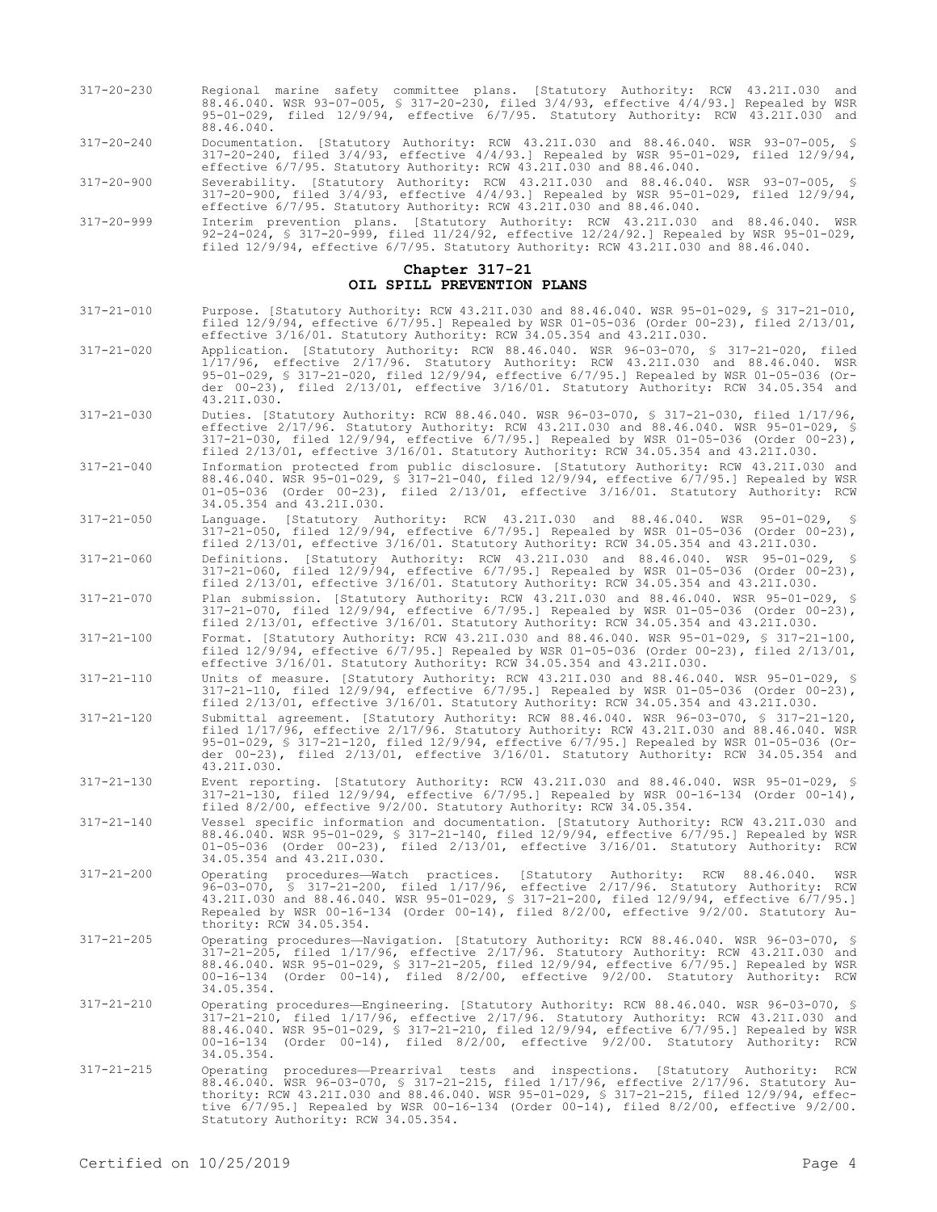- 317-20-230 Regional marine safety committee plans. [Statutory Authority: RCW 43.21I.030 and 88.46.040. WSR 93-07-005, § 317-20-230, filed 3/4/93, effective 4/4/93.] Repealed by WSR 95-01-029, filed 12/9/94, effective 6/7/95. Statutory Authority: RCW 43.21I.030 and 88.46.040.
- 317-20-240 Documentation. [Statutory Authority: RCW 43.21I.030 and 88.46.040. WSR 93-07-005, § 317-20-240, filed 3/4/93, effective 4/4/93.] Repealed by WSR 95-01-029, filed 12/9/94, effective 6/7/95. Statutory Authority: RCW 43.21I.030 and 88.46.040.

317-20-900 Severability. [Statutory Authority: RCW 43.21I.030 and 88.46.040. WSR 93-07-005, § 317-20-900, filed 3/4/93, effective 4/4/93.] Repealed by WSR 95-01-029, filed 12/9/94, effective 6/7/95. Statutory Authority: RCW 43.21I.030 and 88.46.040.

317-20-999 Interim prevention plans. [Statutory Authority: RCW 43.21I.030 and 88.46.040. WSR 92-24-024, § 317-20-999, filed 11/24/92, effective 12/24/92.] Repealed by WSR 95-01-029, filed 12/9/94, effective 6/7/95. Statutory Authority: RCW 43.21I.030 and 88.46.040.

### **Chapter 317-21 OIL SPILL PREVENTION PLANS**

- 317-21-010 Purpose. [Statutory Authority: RCW 43.21I.030 and 88.46.040. WSR 95-01-029, § 317-21-010, filed 12/9/94, effective 6/7/95.] Repealed by WSR 01-05-036 (Order 00-23), filed 2/13/01, effective 3/16/01. Statutory Authority: RCW 34.05.354 and 43.21I.030.
- 317-21-020 Application. [Statutory Authority: RCW 88.46.040. WSR 96-03-070, § 317-21-020, filed 1/17/96, effective 2/17/96. Statutory Authority: RCW 43.21I.030 and 88.46.040. WSR 95-01-029, § 317-21-020, filed 12/9/94, effective 6/7/95.] Repealed by WSR 01-05-036 (Order 00-23), filed 2/13/01, effective 3/16/01. Statutory Authority: RCW 34.05.354 and 43.21I.030.
- 317-21-030 Duties. [Statutory Authority: RCW 88.46.040. WSR 96-03-070, § 317-21-030, filed 1/17/96, effective 2/17/96. Statutory Authority: RCW 43.21I.030 and 88.46.040. WSR 95-01-029, § 317-21-030, filed 12/9/94, effective 6/7/95.] Repealed by WSR 01-05-036 (Order 00-23), filed 2/13/01, effective 3/16/01. Statutory Authority: RCW 34.05.354 and 43.21I.030.
- 317-21-040 Information protected from public disclosure. [Statutory Authority: RCW 43.21I.030 and 88.46.040. WSR 95-01-029, § 317-21-040, filed 12/9/94, effective 6/7/95.] Repealed by WSR 01-05-036 (Order 00-23), filed 2/13/01, effective 3/16/01. Statutory Authority: RCW 34.05.354 and 43.21I.030.
- 317-21-050 Language. [Statutory Authority: RCW 43.21I.030 and 88.46.040. WSR 95-01-029, § 317-21-050, filed 12/9/94, effective 6/7/95.] Repealed by WSR 01-05-036 (Order 00-23), filed 2/13/01, effective 3/16/01. Statutory Authority: RCW 34.05.354 and 43.21I.030.
- 317-21-060 Definitions. [Statutory Authority: RCW 43.21I.030 and 88.46.040. WSR 95-01-029, § 317-21-060, filed 12/9/94, effective 6/7/95.] Repealed by WSR 01-05-036 (Order 00-23), filed 2/13/01, effective 3/16/01. Statutory Authority: RCW 34.05.354 and 43.21I.030.
- 317-21-070 Plan submission. [Statutory Authority: RCW 43.21I.030 and 88.46.040. WSR 95-01-029, § 317-21-070, filed 12/9/94, effective 6/7/95.] Repealed by WSR 01-05-036 (Order 00-23), filed 2/13/01, effective 3/16/01. Statutory Authority: RCW 34.05.354 and 43.21I.030.
- 317-21-100 Format. [Statutory Authority: RCW 43.21I.030 and 88.46.040. WSR 95-01-029, § 317-21-100, filed 12/9/94, effective 6/7/95.] Repealed by WSR 01-05-036 (Order 00-23), filed 2/13/01, effective 3/16/01. Statutory Authority: RCW 34.05.354 and 43.21I.030.
- 317-21-110 Units of measure. [Statutory Authority: RCW 43.21I.030 and 88.46.040. WSR 95-01-029, § 317-21-110, filed 12/9/94, effective 6/7/95.] Repealed by WSR 01-05-036 (Order 00-23), filed 2/13/01, effective 3/16/01. Statutory Authority: RCW 34.05.354 and 43.21I.030.
- 317-21-120 Submittal agreement. [Statutory Authority: RCW 88.46.040. WSR 96-03-070, § 317-21-120, filed 1/17/96, effective 2/17/96. Statutory Authority: RCW 43.21I.030 and 88.46.040. WSR 95-01-029, § 317-21-120, filed 12/9/94, effective 6/7/95.] Repealed by WSR 01-05-036 (Order 00-23), filed 2/13/01, effective 3/16/01. Statutory Authority: RCW 34.05.354 and 43.21I.030.
- 317-21-130 Event reporting. [Statutory Authority: RCW 43.21I.030 and 88.46.040. WSR 95-01-029, § 317-21-130, filed 12/9/94, effective 6/7/95.] Repealed by WSR 00-16-134 (Order 00-14), filed 8/2/00, effective 9/2/00. Statutory Authority: RCW 34.05.354.
- 317-21-140 Vessel specific information and documentation. [Statutory Authority: RCW 43.21I.030 and 88.46.040. WSR 95-01-029, § 317-21-140, filed 12/9/94, effective 6/7/95.] Repealed by WSR 01-05-036 (Order 00-23), filed 2/13/01, effective 3/16/01. Statutory Authority: RCW 34.05.354 and 43.21I.030.
- 317-21-200 Operating procedures—Watch practices. [Statutory Authority: RCW 88.46.040. WSR 96-03-070, § 317-21-200, filed 1/17/96, effective 2/17/96. Statutory Authority: RCW 43.21I.030 and 88.46.040. WSR 95-01-029, § 317-21-200, filed 12/9/94, effective 6/7/95.] Repealed by WSR 00-16-134 (Order 00-14), filed 8/2/00, effective 9/2/00. Statutory Authority: RCW 34.05.354.
- 317-21-205 Operating procedures—Navigation. [Statutory Authority: RCW 88.46.040. WSR 96-03-070, § 317-21-205, filed 1/17/96, effective 2/17/96. Statutory Authority: RCW 43.21I.030 and 88.46.040. WSR 95-01-029, § 317-21-205, filed 12/9/94, effective 6/7/95.] Repealed by WSR 00-16-134 (Order 00-14), filed 8/2/00, effective 9/2/00. Statutory Authority: RCW 34.05.354.
- 317-21-210 Operating procedures—Engineering. [Statutory Authority: RCW 88.46.040. WSR 96-03-070, § 317-21-210, filed 1/17/96, effective 2/17/96. Statutory Authority: RCW 43.21I.030 and 88.46.040. WSR 95-01-029, § 317-21-210, filed 12/9/94, effective 6/7/95.] Repealed by WSR 00-16-134 (Order 00-14), filed 8/2/00, effective 9/2/00. Statutory Authority: RCW 34.05.354.
- 317-21-215 Operating procedures—Prearrival tests and inspections. [Statutory Authority: RCW 88.46.040. WSR 96-03-070, § 317-21-215, filed 1/17/96, effective 2/17/96. Statutory Authority: RCW 43.21I.030 and 88.46.040. WSR 95-01-029, § 317-21-215, filed 12/9/94, effective 6/7/95.] Repealed by WSR 00-16-134 (Order 00-14), filed 8/2/00, effective 9/2/00. Statutory Authority: RCW 34.05.354.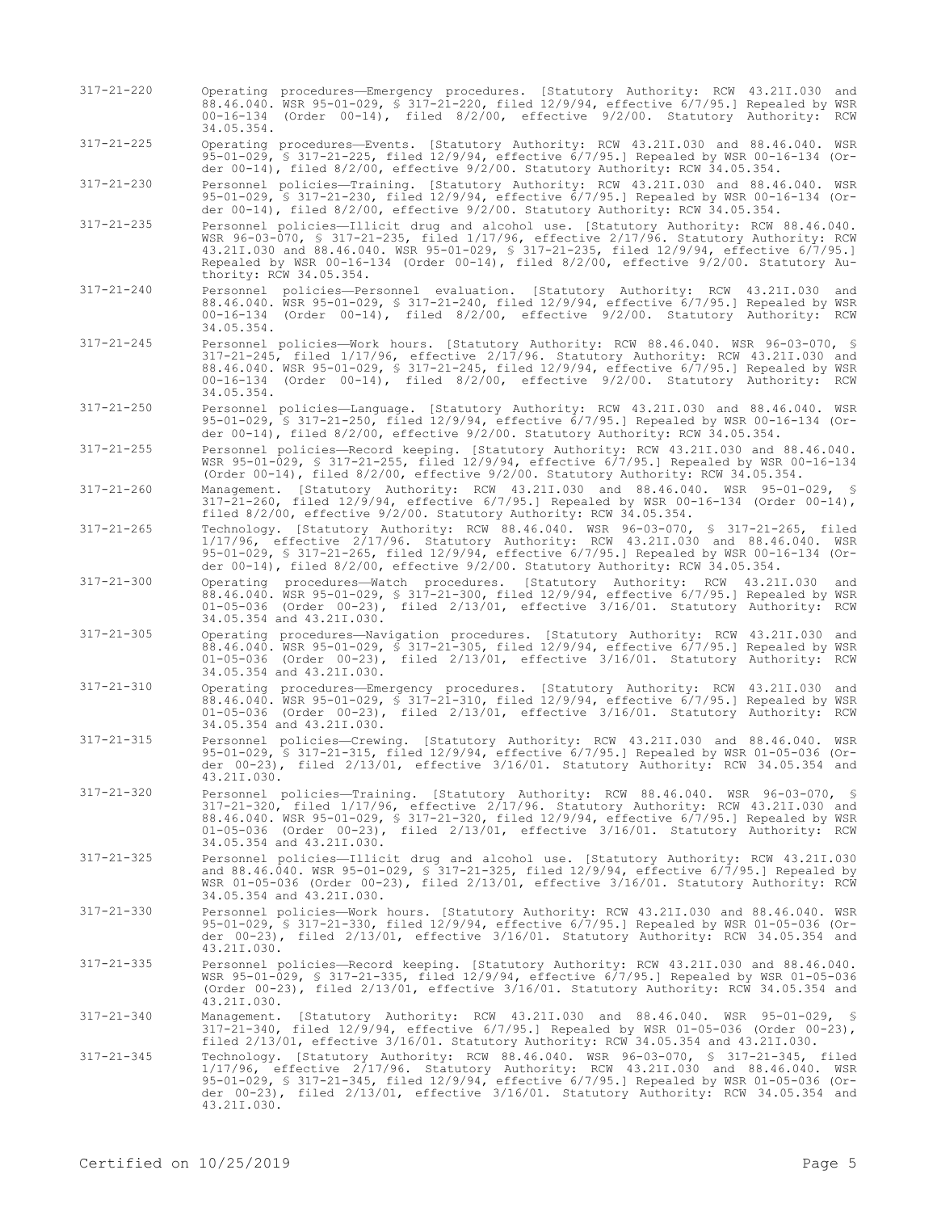| $317 - 21 - 220$ | Operating procedures—Emergency procedures. [Statutory Authority: RCW 43.21I.030 and<br>88.46.040. WSR 95-01-029, § 317-21-220, filed 12/9/94, effective 6/7/95.] Repealed by WSR<br>$00-16-134$ (Order $00-14$ ), filed $8/2/00$ , effective $9/2/00$ . Statutory Authority: RCW<br>34.05.354.                                                                                                                    |
|------------------|-------------------------------------------------------------------------------------------------------------------------------------------------------------------------------------------------------------------------------------------------------------------------------------------------------------------------------------------------------------------------------------------------------------------|
| $317 - 21 - 225$ | Operating procedures-Events. [Statutory Authority: RCW 43.21I.030 and 88.46.040. WSR<br>95-01-029, § 317-21-225, filed $12/9/94$ , effective $6/7/95$ . Repealed by WSR 00-16-134 (Or-<br>der $00-14$ ), filed $8/2/00$ , effective $9/2/00$ . Statutory Authority: RCW 34.05.354.                                                                                                                                |
| $317 - 21 - 230$ | Personnel policies-Training. [Statutory Authority: RCW 43.21I.030 and 88.46.040. WSR<br>95-01-029, § 317-21-230, filed 12/9/94, effective 6/7/95.] Repealed by WSR 00-16-134 (Or-<br>der $00-14$ ), filed $8/2/00$ , effective $9/2/00$ . Statutory Authority: RCW 34.05.354.                                                                                                                                     |
| $317 - 21 - 235$ | Personnel policies-Illicit drug and alcohol use. [Statutory Authority: RCW 88.46.040.<br>WSR $96-03-070$ , § 317-21-235, filed $1/17/96$ , effective $2/17/96$ . Statutory Authority: RCW<br>43.21I.030 and 88.46.040. WSR 95-01-029, \$ 317-21-235, filed 12/9/94, effective 6/7/95.]<br>Repealed by WSR 00-16-134 (Order 00-14), filed $8/2/00$ , effective $9/2/00$ . Statutory Au-<br>thority: RCW 34.05.354. |
| $317 - 21 - 240$ | Personnel policies-Personnel evaluation. [Statutory Authority: RCW 43.21I.030 and<br>88.46.040. WSR 95-01-029, § 317-21-240, filed 12/9/94, effective 6/7/95.] Repealed by WSR<br>$00-16-134$ (Order $00-14$ ), filed $8/2/00$ , effective $9/2/00$ . Statutory Authority: RCW<br>34.05.354.                                                                                                                      |
| $317 - 21 - 245$ | Personnel policies-Work hours. [Statutory Authority: RCW 88.46.040. WSR 96-03-070, §<br>317-21-245, filed 1/17/96, effective 2/17/96. Statutory Authority: RCW 43.21I.030 and<br>88.46.040. WSR 95-01-029, \$ 317-21-245, filed 12/9/94, effective 6/7/95.] Repealed by WSR<br>00-16-134 (Order 00-14), filed 8/2/00, effective 9/2/00. Statutory Authority: RCW<br>34.05.354.                                    |
| $317 - 21 - 250$ | Personnel policies—Language. [Statutory Authority: RCW 43.21I.030 and 88.46.040. WSR<br>95-01-029, § 317-21-250, filed $12/9/94$ , effective $6/7/95$ . Repealed by WSR 00-16-134 (Or-<br>der $00-14$ ), filed $8/2/00$ , effective $9/2/00$ . Statutory Authority: RCW 34.05.354.                                                                                                                                |
| $317 - 21 - 255$ | Personnel policies—Record keeping. [Statutory Authority: RCW 43.21I.030 and 88.46.040.<br>WSR 95-01-029, § 317-21-255, filed 12/9/94, effective 6/7/95.] Repealed by WSR 00-16-134<br>(Order $00-14$ ), filed $8/2/00$ , effective $9/2/00$ . Statutory Authority: RCW 34.05.354.                                                                                                                                 |
| $317 - 21 - 260$ | Management. [Statutory Authority: RCW 43.21I.030 and 88.46.040. WSR 95-01-029, §<br>$317-21-260$ , filed $12/9/94$ , effective $6/7/95$ . Repealed by WSR 00-16-134 (Order 00-14),<br>filed 8/2/00, effective 9/2/00. Statutory Authority: RCW 34.05.354.                                                                                                                                                         |
| $317 - 21 - 265$ | Technology. [Statutory Authority: RCW 88.46.040. WSR 96-03-070, \$ 317-21-265, filed<br>1/17/96, effective 2/17/96. Statutory Authority: RCW 43.21I.030 and 88.46.040. WSR<br>95-01-029, \$ 317-21-265, filed 12/9/94, effective 6/7/95.] Repealed by WSR 00-16-134 (Or-<br>der $00-14$ ), filed $8/2/00$ , effective $9/2/00$ . Statutory Authority: RCW 34.05.354.                                              |
| $317 - 21 - 300$ | Operating procedures—Watch procedures. [Statutory Authority: RCW 43.21I.030<br>and<br>88.46.040. WSR 95-01-029, § 317-21-300, filed 12/9/94, effective 6/7/95.] Repealed by WSR<br>$01-05-036$ (Order $00-23$ ), filed $2/13/01$ , effective $3/16/01$ . Statutory Authority: RCW<br>34.05.354 and 43.21I.030.                                                                                                    |
| $317 - 21 - 305$ | Operating procedures—Navigation procedures. [Statutory Authority: RCW 43.21I.030 and<br>88.46.040. WSR 95-01-029, § 317-21-305, filed 12/9/94, effective 6/7/95.] Repealed by WSR<br>$01-05-036$ (Order $00-23$ ), filed $2/13/01$ , effective $3/16/01$ . Statutory Authority: RCW<br>34.05.354 and 43.21I.030.                                                                                                  |
| $317 - 21 - 310$ | Operating procedures—Emergency procedures. [Statutory Authority: RCW 43.21I.030 and<br>88.46.040. WSR 95-01-029, § 317-21-310, filed 12/9/94, effective 6/7/95.] Repealed by WSR<br>01-05-036 (Order 00-23), filed 2/13/01, effective 3/16/01. Statutory Authority: RCW<br>34.05.354 and 43.21I.030.                                                                                                              |
| $317 - 21 - 315$ | Personnel policies-Crewing. [Statutory Authority: RCW 43.21I.030 and 88.46.040. WSR<br>95-01-029, § 317-21-315, filed 12/9/94, effective 6/7/95.] Repealed by WSR 01-05-036 (Or-<br>der 00-23), filed 2/13/01, effective 3/16/01. Statutory Authority: RCW 34.05.354 and<br>43.21I.030.                                                                                                                           |
| $317 - 21 - 320$ | Personnel policies-Training. [Statutory Authority: RCW 88.46.040. WSR 96-03-070, §<br>317-21-320, filed 1/17/96, effective 2/17/96. Statutory Authority: RCW 43.21I.030 and<br>88.46.040. WSR 95-01-029, \$ 317-21-320, filed 12/9/94, effective 6/7/95.] Repealed by WSR<br>01-05-036 (Order 00-23), filed 2/13/01, effective 3/16/01. Statutory Authority: RCW<br>34.05.354 and 43.21I.030.                     |
| $317 - 21 - 325$ | Personnel policies-Illicit drug and alcohol use. [Statutory Authority: RCW 43.21I.030<br>and 88.46.040. WSR 95-01-029, § 317-21-325, filed 12/9/94, effective 6/7/95.1 Repealed by<br>WSR 01-05-036 (Order 00-23), filed 2/13/01, effective 3/16/01. Statutory Authority: RCW<br>34.05.354 and 43.21I.030.                                                                                                        |
| $317 - 21 - 330$ | Personnel policies-Work hours. [Statutory Authority: RCW 43.21I.030 and 88.46.040. WSR<br>95-01-029, § 317-21-330, filed 12/9/94, effective 6/7/95.] Repealed by WSR 01-05-036 (Or-<br>der 00-23), filed 2/13/01, effective 3/16/01. Statutory Authority: RCW 34.05.354 and<br>43.21I.030.                                                                                                                        |
| $317 - 21 - 335$ | Personnel policies-Record keeping. [Statutory Authority: RCW 43.21I.030 and 88.46.040.<br>WSR 95-01-029, § 317-21-335, filed 12/9/94, effective 6/7/95.] Repealed by WSR 01-05-036<br>(Order $00-23$ ), filed $2/13/01$ , effective $3/16/01$ . Statutory Authority: RCW 34.05.354 and<br>43.21I.030.                                                                                                             |
| $317 - 21 - 340$ | Management. [Statutory Authority: RCW 43.21I.030 and 88.46.040. WSR 95-01-029, §<br>$317-21-340$ , filed $12/9/94$ , effective $6/7/95$ . Repealed by WSR 01-05-036 (Order 00-23),<br>filed $2/13/01$ , effective $3/16/01$ . Statutory Authority: RCW 34.05.354 and 43.21I.030.                                                                                                                                  |
| $317 - 21 - 345$ | Technology. [Statutory Authority: RCW 88.46.040. WSR 96-03-070, § 317-21-345, filed<br>1/17/96, effective 2/17/96. Statutory Authority: RCW 43.21I.030 and 88.46.040. WSR<br>95-01-029, § 317-21-345, filed 12/9/94, effective 6/7/95.] Repealed by WSR 01-05-036 (Or-<br>der $00-23$ ), filed $2/13/01$ , effective $3/16/01$ . Statutory Authority: RCW 34.05.354 and<br>43.21I.030.                            |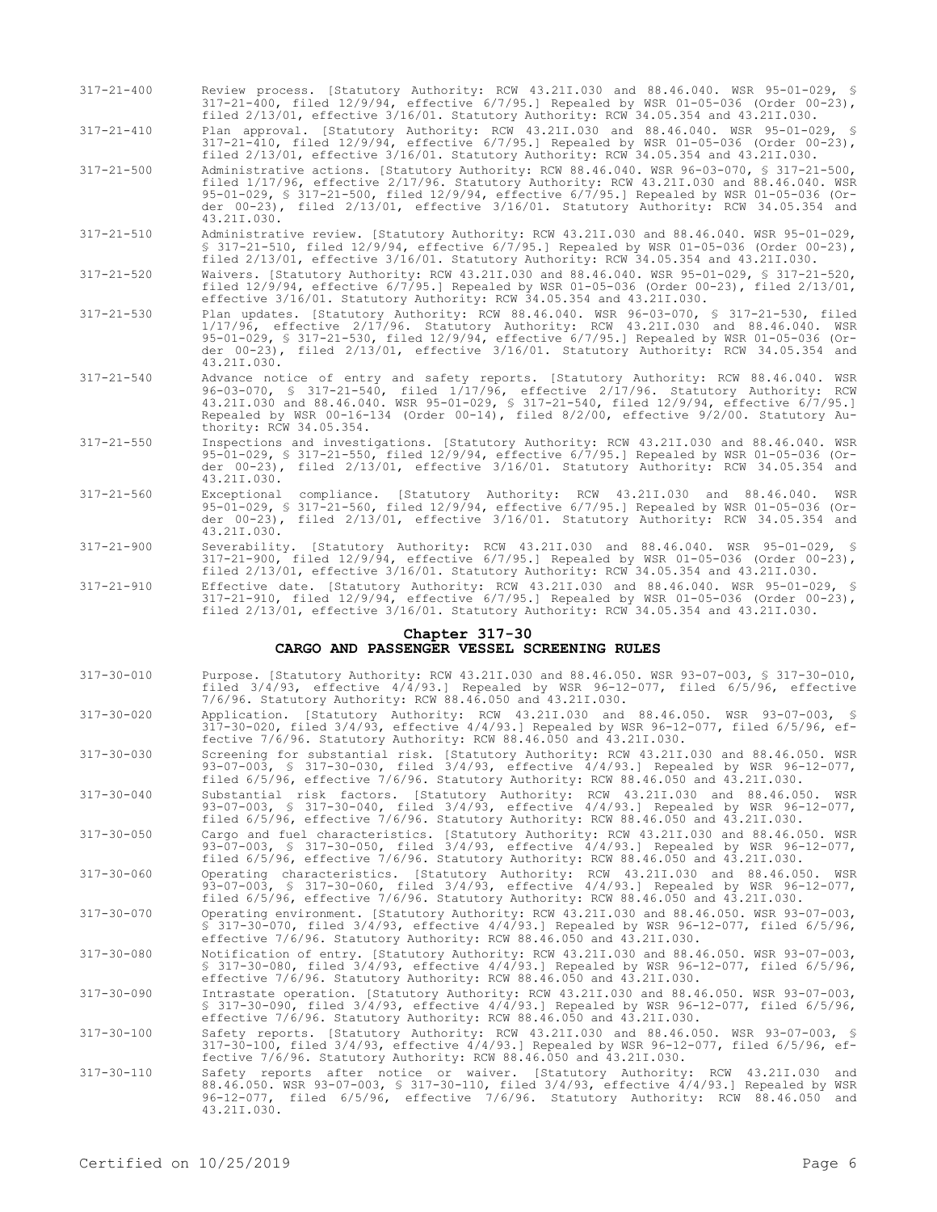317-21-400 Review process. [Statutory Authority: RCW 43.21I.030 and 88.46.040. WSR 95-01-029, § 317-21-400, filed 12/9/94, effective 6/7/95.] Repealed by WSR 01-05-036 (Order 00-23), filed 2/13/01, effective 3/16/01. Statutory Authority: RCW 34.05.354 and 43.21I.030.

317-21-410 Plan approval. [Statutory Authority: RCW 43.21I.030 and 88.46.040. WSR 95-01-029, § 317-21-410, filed 12/9/94, effective 6/7/95.] Repealed by WSR 01-05-036 (Order 00-23), filed 2/13/01, effective 3/16/01. Statutory Authority: RCW 34.05.354 and 43.21I.030.

- 317-21-500 Administrative actions. [Statutory Authority: RCW 88.46.040. WSR 96-03-070, § 317-21-500, filed 1/17/96, effective 2/17/96. Statutory Authority: RCW 43.21I.030 and 88.46.040. WSR 95-01-029, § 317-21-500, filed 12/9/94, effective 6/7/95.] Repealed by WSR 01-05-036 (Order 00-23), filed 2/13/01, effective 3/16/01. Statutory Authority: RCW 34.05.354 and 43.21I.030.
- 317-21-510 Administrative review. [Statutory Authority: RCW 43.21I.030 and 88.46.040. WSR 95-01-029, § 317-21-510, filed 12/9/94, effective 6/7/95.] Repealed by WSR 01-05-036 (Order 00-23), filed 2/13/01, effective 3/16/01. Statutory Authority: RCW 34.05.354 and 43.21I.030.
- 317-21-520 Waivers. [Statutory Authority: RCW 43.21I.030 and 88.46.040. WSR 95-01-029, § 317-21-520, filed 12/9/94, effective 6/7/95.] Repealed by WSR 01-05-036 (Order 00-23), filed 2/13/01, effective 3/16/01. Statutory Authority: RCW 34.05.354 and 43.21I.030.
- 317-21-530 Plan updates. [Statutory Authority: RCW 88.46.040. WSR 96-03-070, § 317-21-530, filed 1/17/96, effective 2/17/96. Statutory Authority: RCW 43.21I.030 and 88.46.040. WSR 95-01-029, § 317-21-530, filed 12/9/94, effective 6/7/95.] Repealed by WSR 01-05-036 (Order 00-23), filed 2/13/01, effective 3/16/01. Statutory Authority: RCW 34.05.354 and 43.21I.030.
- 317-21-540 Advance notice of entry and safety reports. [Statutory Authority: RCW 88.46.040. WSR 96-03-070, § 317-21-540, filed 1/17/96, effective 2/17/96. Statutory Authority: RCW 43.21I.030 and 88.46.040. WSR 95-01-029, § 317-21-540, filed 12/9/94, effective 6/7/95.] Repealed by WSR 00-16-134 (Order 00-14), filed 8/2/00, effective 9/2/00. Statutory Authority: RCW 34.05.354.
- 317-21-550 Inspections and investigations. [Statutory Authority: RCW 43.21I.030 and 88.46.040. WSR 95-01-029, § 317-21-550, filed 12/9/94, effective 6/7/95.] Repealed by WSR 01-05-036 (Order 00-23), filed 2/13/01, effective 3/16/01. Statutory Authority: RCW 34.05.354 and 43.21I.030.
- 317-21-560 Exceptional compliance. [Statutory Authority: RCW 43.21I.030 and 88.46.040. WSR 95-01-029, § 317-21-560, filed 12/9/94, effective 6/7/95.] Repealed by WSR 01-05-036 (Order 00-23), filed 2/13/01, effective 3/16/01. Statutory Authority: RCW 34.05.354 and 43.21I.030.
- 317-21-900 Severability. [Statutory Authority: RCW 43.21I.030 and 88.46.040. WSR 95-01-029, § 317-21-900, filed 12/9/94, effective 6/7/95.] Repealed by WSR 01-05-036 (Order 00-23), filed 2/13/01, effective 3/16/01. Statutory Authority: RCW 34.05.354 and 43.21I.030.
- 317-21-910 Effective date. [Statutory Authority: RCW 43.21I.030 and 88.46.040. WSR 95-01-029, § 317-21-910, filed 12/9/94, effective 6/7/95.] Repealed by WSR 01-05-036 (Order 00-23), filed 2/13/01, effective 3/16/01. Statutory Authority: RCW 34.05.354 and 43.21I.030.

#### **Chapter 317-30**

# **CARGO AND PASSENGER VESSEL SCREENING RULES**

- 317-30-010 Purpose. [Statutory Authority: RCW 43.21I.030 and 88.46.050. WSR 93-07-003, § 317-30-010, filed 3/4/93, effective 4/4/93.] Repealed by WSR 96-12-077, filed 6/5/96, effective 7/6/96. Statutory Authority: RCW 88.46.050 and 43.21I.030.
- 317-30-020 Application. [Statutory Authority: RCW 43.21I.030 and 88.46.050. WSR 93-07-003, § 317-30-020, filed 3/4/93, effective 4/4/93.] Repealed by WSR 96-12-077, filed 6/5/96, effective 7/6/96. Statutory Authority: RCW 88.46.050 and 43.21I.030.
- 317-30-030 Screening for substantial risk. [Statutory Authority: RCW 43.21I.030 and 88.46.050. WSR 93-07-003, § 317-30-030, filed 3/4/93, effective 4/4/93.] Repealed by WSR 96-12-077, filed 6/5/96, effective 7/6/96. Statutory Authority: RCW 88.46.050 and 43.21I.030.
- 317-30-040 Substantial risk factors. [Statutory Authority: RCW 43.21I.030 and 88.46.050. WSR 93-07-003, § 317-30-040, filed 3/4/93, effective 4/4/93.] Repealed by WSR 96-12-077, filed 6/5/96, effective 7/6/96. Statutory Authority: RCW 88.46.050 and 43.21I.030.
- 317-30-050 Cargo and fuel characteristics. [Statutory Authority: RCW 43.21I.030 and 88.46.050. WSR 93-07-003, § 317-30-050, filed 3/4/93, effective 4/4/93.] Repealed by WSR 96-12-077, filed 6/5/96, effective 7/6/96. Statutory Authority: RCW 88.46.050 and 43.21I.030.
- 317-30-060 Operating characteristics. [Statutory Authority: RCW 43.21I.030 and 88.46.050. WSR 93-07-003, § 317-30-060, filed 3/4/93, effective 4/4/93.] Repealed by WSR 96-12-077, filed 6/5/96, effective 7/6/96. Statutory Authority: RCW 88.46.050 and 43.21I.030.
- 317-30-070 Operating environment. [Statutory Authority: RCW 43.21I.030 and 88.46.050. WSR 93-07-003, § 317-30-070, filed 3/4/93, effective 4/4/93.] Repealed by WSR 96-12-077, filed 6/5/96, effective 7/6/96. Statutory Authority: RCW 88.46.050 and 43.21I.030.
- 317-30-080 Notification of entry. [Statutory Authority: RCW 43.21I.030 and 88.46.050. WSR 93-07-003, § 317-30-080, filed 3/4/93, effective 4/4/93.] Repealed by WSR 96-12-077, filed 6/5/96, effective 7/6/96. Statutory Authority: RCW 88.46.050 and 43.21I.030.
- 317-30-090 Intrastate operation. [Statutory Authority: RCW 43.21I.030 and 88.46.050. WSR 93-07-003, § 317-30-090, filed 3/4/93, effective 4/4/93.] Repealed by WSR 96-12-077, filed 6/5/96, effective 7/6/96. Statutory Authority: RCW 88.46.050 and 43.21I.030.
- 317-30-100 Safety reports. [Statutory Authority: RCW 43.21I.030 and 88.46.050. WSR 93-07-003, § 317-30-100, filed 3/4/93, effective 4/4/93.] Repealed by WSR 96-12-077, filed 6/5/96, effective 7/6/96. Statutory Authority: RCW 88.46.050 and 43.21I.030.
- 317-30-110 Safety reports after notice or waiver. [Statutory Authority: RCW 43.21I.030 and 88.46.050. WSR 93-07-003, § 317-30-110, filed 3/4/93, effective 4/4/93.] Repealed by WSR 96-12-077, filed 6/5/96, effective 7/6/96. Statutory Authority: RCW 88.46.050 and 43.21I.030.